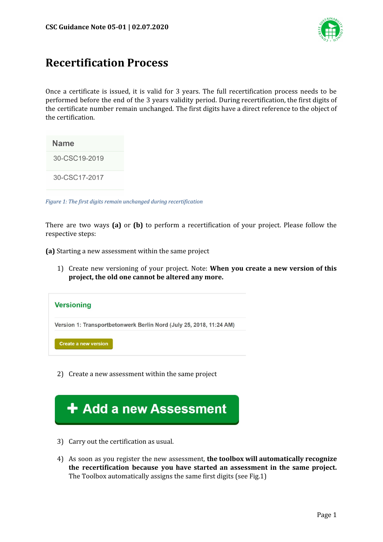

## **Recertification Process**

Once a certificate is issued, it is valid for 3 years. The full recertification process needs to be performed before the end of the 3 years validity period. During recertification, the first digits of the certificate number remain unchanged. The first digits have a direct reference to the object of the certification.

| Name          |
|---------------|
| 30-CSC19-2019 |
| 30-CSC17-2017 |

*Figure 1: The first digits remain unchanged during recertification*

There are two ways **(a)** or **(b)** to perform a recertification of your project. Please follow the respective steps:

**(a)** Starting a new assessment within the same project

1) Create new versioning of your project. Note: **When you create a new version of this project, the old one cannot be altered any more.**



2) Create a new assessment within the same project



- 3) Carry out the certification as usual.
- 4) As soon as you register the new assessment, **the toolbox will automatically recognize the recertification because you have started an assessment in the same project.** The Toolbox automatically assigns the same first digits (see Fig.1)